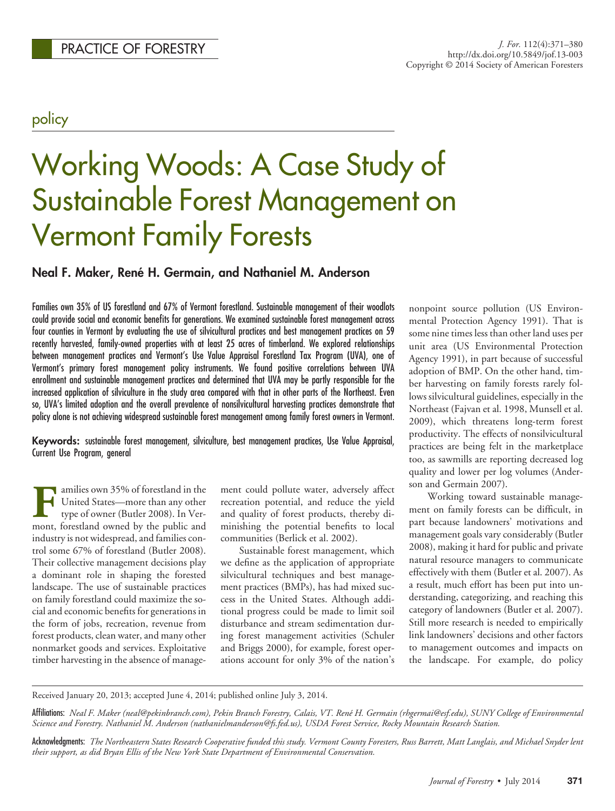# policy

# Working Woods: A Case Study of Sustainable Forest Management on Vermont Family Forests

# Neal F. Maker, René H. Germain, and Nathaniel M. Anderson

Families own 35% of US forestland and 67% of Vermont forestland. Sustainable management of their woodlots could provide social and economic benefits for generations. We examined sustainable forest management across four counties in Vermont by evaluating the use of silvicultural practices and best management practices on 59 recently harvested, family-owned properties with at least 25 acres of timberland. We explored relationships between management practices and Vermont's Use Value Appraisal Forestland Tax Program (UVA), one of Vermont's primary forest management policy instruments. We found positive correlations between UVA enrollment and sustainable management practices and determined that UVA may be partly responsible for the increased application of silviculture in the study area compared with that in other parts of the Northeast. Even so, UVA's limited adoption and the overall prevalence of nonsilvicultural harvesting practices demonstrate that policy alone is not achieving widespread sustainable forest management among family forest owners in Vermont.

**Keywords:** sustainable forest management, silviculture, best management practices, Use Value Appraisal, Current Use Program, general

**Families own 35% of forestland in the** United States—more than any other type of owner (Butler 2008). In Vermont, forestland owned by the public and industry is not widespread, and families control some 67% of forestland (Butler 2008). Their collective management decisions play a dominant role in shaping the forested landscape. The use of sustainable practices on family forestland could maximize the social and economic benefits for generations in the form of jobs, recreation, revenue from forest products, clean water, and many other nonmarket goods and services. Exploitative timber harvesting in the absence of manage-

ment could pollute water, adversely affect recreation potential, and reduce the yield and quality of forest products, thereby diminishing the potential benefits to local communities (Berlick et al. 2002).

Sustainable forest management, which we define as the application of appropriate silvicultural techniques and best management practices (BMPs), has had mixed success in the United States. Although additional progress could be made to limit soil disturbance and stream sedimentation during forest management activities (Schuler and Briggs 2000), for example, forest operations account for only 3% of the nation's nonpoint source pollution (US Environmental Protection Agency 1991). That is some nine times less than other land uses per unit area (US Environmental Protection Agency 1991), in part because of successful adoption of BMP. On the other hand, timber harvesting on family forests rarely follows silvicultural guidelines, especially in the Northeast (Fajvan et al. 1998, Munsell et al. 2009), which threatens long-term forest productivity. The effects of nonsilvicultural practices are being felt in the marketplace too, as sawmills are reporting decreased log quality and lower per log volumes (Anderson and Germain 2007).

Working toward sustainable management on family forests can be difficult, in part because landowners' motivations and management goals vary considerably (Butler 2008), making it hard for public and private natural resource managers to communicate effectively with them (Butler et al. 2007). As a result, much effort has been put into understanding, categorizing, and reaching this category of landowners (Butler et al. 2007). Still more research is needed to empirically link landowners' decisions and other factors to management outcomes and impacts on the landscape. For example, do policy

Received January 20, 2013; accepted June 4, 2014; published online July 3, 2014.

Affiliations: *Neal F. Maker (neal@pekinbranch.com), Pekin Branch Forestry, Calais, VT. Rene´ H. Germain (rhgermai@esf.edu), SUNY College of Environmental Science and Forestry. Nathaniel M. Anderson (nathanielmanderson@fs.fed.us), USDA Forest Service, Rocky Mountain Research Station.*

Acknowledgments: *The Northeastern States Research Cooperative funded this study. Vermont County Foresters, Russ Barrett, Matt Langlais, and Michael Snyder lent their support, as did Bryan Ellis of the New York State Department of Environmental Conservation.*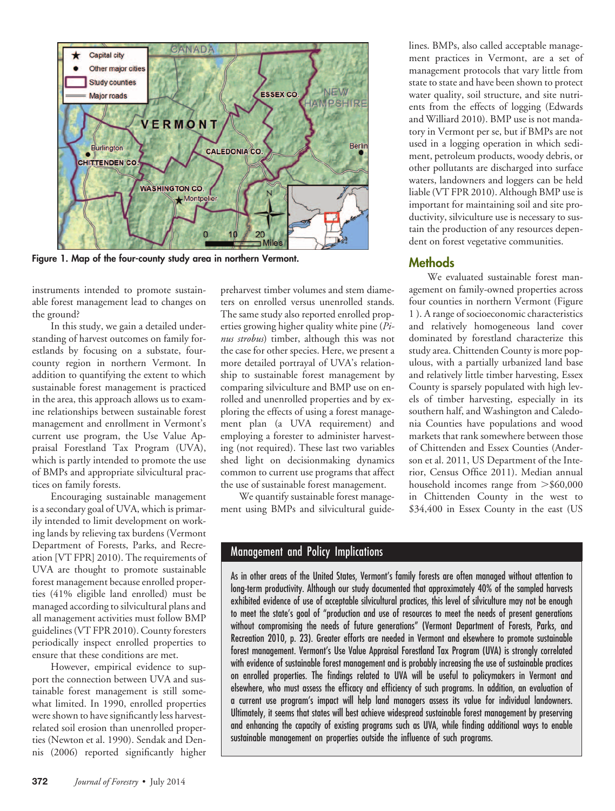

**Figure 1. Map of the four-county study area in northern Vermont.**

instruments intended to promote sustainable forest management lead to changes on the ground?

In this study, we gain a detailed understanding of harvest outcomes on family forestlands by focusing on a substate, fourcounty region in northern Vermont. In addition to quantifying the extent to which sustainable forest management is practiced in the area, this approach allows us to examine relationships between sustainable forest management and enrollment in Vermont's current use program, the Use Value Appraisal Forestland Tax Program (UVA), which is partly intended to promote the use of BMPs and appropriate silvicultural practices on family forests.

Encouraging sustainable management is a secondary goal of UVA, which is primarily intended to limit development on working lands by relieving tax burdens (Vermont Department of Forests, Parks, and Recreation [VT FPR] 2010). The requirements of UVA are thought to promote sustainable forest management because enrolled properties (41% eligible land enrolled) must be managed according to silvicultural plans and all management activities must follow BMP guidelines (VT FPR 2010). County foresters periodically inspect enrolled properties to ensure that these conditions are met.

However, empirical evidence to support the connection between UVA and sustainable forest management is still somewhat limited. In 1990, enrolled properties were shown to have significantly less harvestrelated soil erosion than unenrolled properties (Newton et al. 1990). Sendak and Dennis (2006) reported significantly higher

preharvest timber volumes and stem diameters on enrolled versus unenrolled stands. The same study also reported enrolled properties growing higher quality white pine (*Pinus strobus*) timber, although this was not the case for other species. Here, we present a more detailed portrayal of UVA's relationship to sustainable forest management by comparing silviculture and BMP use on enrolled and unenrolled properties and by exploring the effects of using a forest management plan (a UVA requirement) and employing a forester to administer harvesting (not required). These last two variables shed light on decisionmaking dynamics common to current use programs that affect the use of sustainable forest management.

We quantify sustainable forest management using BMPs and silvicultural guidelines. BMPs, also called acceptable management practices in Vermont, are a set of management protocols that vary little from state to state and have been shown to protect water quality, soil structure, and site nutrients from the effects of logging (Edwards and Williard 2010). BMP use is not mandatory in Vermont per se, but if BMPs are not used in a logging operation in which sediment, petroleum products, woody debris, or other pollutants are discharged into surface waters, landowners and loggers can be held liable (VT FPR 2010). Although BMP use is important for maintaining soil and site productivity, silviculture use is necessary to sustain the production of any resources dependent on forest vegetative communities.

## **Methods**

We evaluated sustainable forest management on family-owned properties across four counties in northern Vermont (Figure 1 ). A range of socioeconomic characteristics and relatively homogeneous land cover dominated by forestland characterize this study area. Chittenden County is more populous, with a partially urbanized land base and relatively little timber harvesting, Essex County is sparsely populated with high levels of timber harvesting, especially in its southern half, and Washington and Caledonia Counties have populations and wood markets that rank somewhere between those of Chittenden and Essex Counties (Anderson et al. 2011, US Department of the Interior, Census Office 2011). Median annual household incomes range from -\$60,000 in Chittenden County in the west to \$34,400 in Essex County in the east (US

## Management and Policy Implications

As in other areas of the United States, Vermont's family forests are often managed without attention to long-term productivity. Although our study documented that approximately 40% of the sampled harvests exhibited evidence of use of acceptable silvicultural practices, this level of silviculture may not be enough to meet the state's goal of "production and use of resources to meet the needs of present generations without compromising the needs of future generations" (Vermont Department of Forests, Parks, and Recreation 2010, p. 23). Greater efforts are needed in Vermont and elsewhere to promote sustainable forest management. Vermont's Use Value Appraisal Forestland Tax Program (UVA) is strongly correlated with evidence of sustainable forest management and is probably increasing the use of sustainable practices on enrolled properties. The findings related to UVA will be useful to policymakers in Vermont and elsewhere, who must assess the efficacy and efficiency of such programs. In addition, an evaluation of a current use program's impact will help land managers assess its value for individual landowners. Ultimately, it seems that states will best achieve widespread sustainable forest management by preserving and enhancing the capacity of existing programs such as UVA, while finding additional ways to enable sustainable management on properties outside the influence of such programs.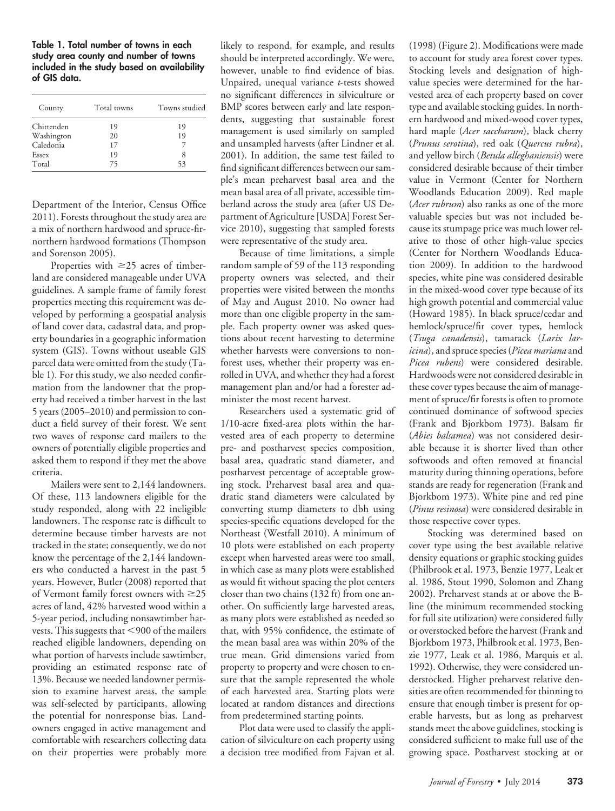**Table 1. Total number of towns in each study area county and number of towns included in the study based on availability of GIS data.**

| County     | Total towns | Towns studied |
|------------|-------------|---------------|
| Chittenden | 19          | 19            |
| Washington | 20          | 19            |
| Caledonia  | 17          |               |
| Essex      | 19          | 8             |
| Total      | 75          | 53            |

Department of the Interior, Census Office 2011). Forests throughout the study area are a mix of northern hardwood and spruce-firnorthern hardwood formations (Thompson and Sorenson 2005).

Properties with  $\geq$ 25 acres of timberland are considered manageable under UVA guidelines. A sample frame of family forest properties meeting this requirement was developed by performing a geospatial analysis of land cover data, cadastral data, and property boundaries in a geographic information system (GIS). Towns without useable GIS parcel data were omitted from the study (Table 1). For this study, we also needed confirmation from the landowner that the property had received a timber harvest in the last 5 years (2005–2010) and permission to conduct a field survey of their forest. We sent two waves of response card mailers to the owners of potentially eligible properties and asked them to respond if they met the above criteria.

Mailers were sent to 2,144 landowners. Of these, 113 landowners eligible for the study responded, along with 22 ineligible landowners. The response rate is difficult to determine because timber harvests are not tracked in the state; consequently, we do not know the percentage of the 2,144 landowners who conducted a harvest in the past 5 years. However, Butler (2008) reported that of Vermont family forest owners with  $\geq$ 25 acres of land, 42% harvested wood within a 5-year period, including nonsawtimber harvests. This suggests that  $<$  900 of the mailers reached eligible landowners, depending on what portion of harvests include sawtimber, providing an estimated response rate of 13%. Because we needed landowner permission to examine harvest areas, the sample was self-selected by participants, allowing the potential for nonresponse bias. Landowners engaged in active management and comfortable with researchers collecting data on their properties were probably more likely to respond, for example, and results should be interpreted accordingly. We were, however, unable to find evidence of bias. Unpaired, unequal variance *t*-tests showed no significant differences in silviculture or BMP scores between early and late respondents, suggesting that sustainable forest management is used similarly on sampled and unsampled harvests (after Lindner et al. 2001). In addition, the same test failed to find significant differences between our sample's mean preharvest basal area and the mean basal area of all private, accessible timberland across the study area (after US Department of Agriculture [USDA] Forest Service 2010), suggesting that sampled forests were representative of the study area.

Because of time limitations, a simple random sample of 59 of the 113 responding property owners was selected, and their properties were visited between the months of May and August 2010. No owner had more than one eligible property in the sample. Each property owner was asked questions about recent harvesting to determine whether harvests were conversions to nonforest uses, whether their property was enrolled in UVA, and whether they had a forest management plan and/or had a forester administer the most recent harvest.

Researchers used a systematic grid of 1/10-acre fixed-area plots within the harvested area of each property to determine pre- and postharvest species composition, basal area, quadratic stand diameter, and postharvest percentage of acceptable growing stock. Preharvest basal area and quadratic stand diameters were calculated by converting stump diameters to dbh using species-specific equations developed for the Northeast (Westfall 2010). A minimum of 10 plots were established on each property except when harvested areas were too small, in which case as many plots were established as would fit without spacing the plot centers closer than two chains (132 ft) from one another. On sufficiently large harvested areas, as many plots were established as needed so that, with 95% confidence, the estimate of the mean basal area was within 20% of the true mean. Grid dimensions varied from property to property and were chosen to ensure that the sample represented the whole of each harvested area. Starting plots were located at random distances and directions from predetermined starting points.

Plot data were used to classify the application of silviculture on each property using a decision tree modified from Fajvan et al.

(1998) (Figure 2). Modifications were made to account for study area forest cover types. Stocking levels and designation of highvalue species were determined for the harvested area of each property based on cover type and available stocking guides. In northern hardwood and mixed-wood cover types, hard maple (*Acer saccharum*), black cherry (*Prunus serotina*), red oak (*Quercus rubra*), and yellow birch (*Betula alleghaniensis*) were considered desirable because of their timber value in Vermont (Center for Northern Woodlands Education 2009). Red maple (*Acer rubrum*) also ranks as one of the more valuable species but was not included because its stumpage price was much lower relative to those of other high-value species (Center for Northern Woodlands Education 2009). In addition to the hardwood species, white pine was considered desirable in the mixed-wood cover type because of its high growth potential and commercial value (Howard 1985). In black spruce/cedar and hemlock/spruce/fir cover types, hemlock (*Tsuga canadensis*), tamarack (*Larix laricina*), and spruce species (*Picea mariana* and *Picea rubens*) were considered desirable. Hardwoods were not considered desirable in these cover types because the aim of management of spruce/fir forests is often to promote continued dominance of softwood species (Frank and Bjorkbom 1973). Balsam fir (*Abies balsamea*) was not considered desirable because it is shorter lived than other softwoods and often removed at financial maturity during thinning operations, before stands are ready for regeneration (Frank and Bjorkbom 1973). White pine and red pine (*Pinus resinosa*) were considered desirable in those respective cover types.

Stocking was determined based on cover type using the best available relative density equations or graphic stocking guides (Philbrook et al. 1973, Benzie 1977, Leak et al. 1986, Stout 1990, Solomon and Zhang 2002). Preharvest stands at or above the Bline (the minimum recommended stocking for full site utilization) were considered fully or overstocked before the harvest (Frank and Bjorkbom 1973, Philbrook et al. 1973, Benzie 1977, Leak et al. 1986, Marquis et al. 1992). Otherwise, they were considered understocked. Higher preharvest relative densities are often recommended for thinning to ensure that enough timber is present for operable harvests, but as long as preharvest stands meet the above guidelines, stocking is considered sufficient to make full use of the growing space. Postharvest stocking at or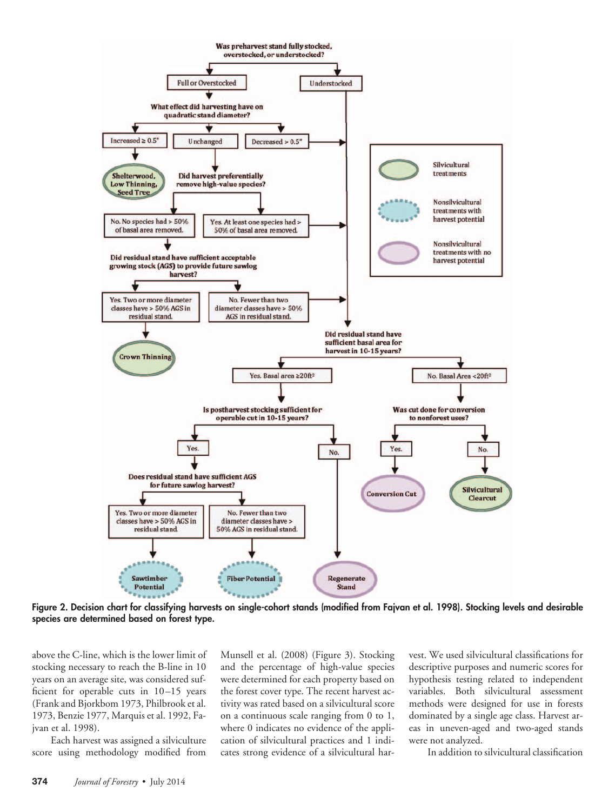

**Figure 2. Decision chart for classifying harvests on single-cohort stands (modified from Fajvan et al. 1998). Stocking levels and desirable species are determined based on forest type.**

above the C-line, which is the lower limit of stocking necessary to reach the B-line in 10 years on an average site, was considered sufficient for operable cuts in 10–15 years (Frank and Bjorkbom 1973, Philbrook et al. 1973, Benzie 1977, Marquis et al. 1992, Fajvan et al. 1998).

Each harvest was assigned a silviculture score using methodology modified from

Munsell et al. (2008) (Figure 3). Stocking and the percentage of high-value species were determined for each property based on the forest cover type. The recent harvest activity was rated based on a silvicultural score on a continuous scale ranging from 0 to 1, where 0 indicates no evidence of the application of silvicultural practices and 1 indicates strong evidence of a silvicultural harvest. We used silvicultural classifications for descriptive purposes and numeric scores for hypothesis testing related to independent variables. Both silvicultural assessment methods were designed for use in forests dominated by a single age class. Harvest areas in uneven-aged and two-aged stands were not analyzed.

In addition to silvicultural classification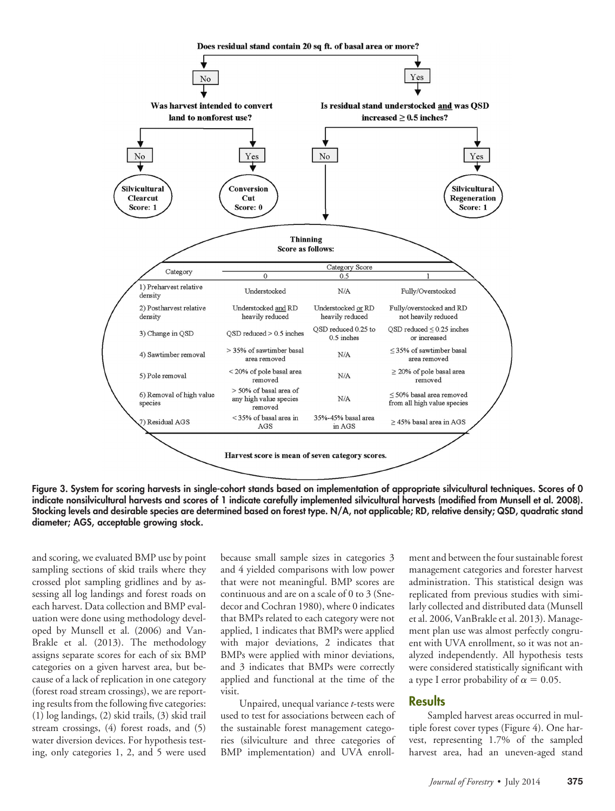

**Figure 3. System for scoring harvests in single-cohort stands based on implementation of appropriate silvicultural techniques. Scores of 0 indicate nonsilvicultural harvests and scores of 1 indicate carefully implemented silvicultural harvests (modified from Munsell et al. 2008). Stocking levels and desirable species are determined based on forest type. N/A, not applicable; RD, relative density; QSD, quadratic stand diameter; AGS, acceptable growing stock.**

and scoring, we evaluated BMP use by point sampling sections of skid trails where they crossed plot sampling gridlines and by assessing all log landings and forest roads on each harvest. Data collection and BMP evaluation were done using methodology developed by Munsell et al. (2006) and Van-Brakle et al. (2013). The methodology assigns separate scores for each of six BMP categories on a given harvest area, but because of a lack of replication in one category (forest road stream crossings), we are reporting results from the following five categories: (1) log landings, (2) skid trails, (3) skid trail stream crossings, (4) forest roads, and (5) water diversion devices. For hypothesis testing, only categories 1, 2, and 5 were used

because small sample sizes in categories 3 and 4 yielded comparisons with low power that were not meaningful. BMP scores are continuous and are on a scale of 0 to 3 (Snedecor and Cochran 1980), where 0 indicates that BMPs related to each category were not applied, 1 indicates that BMPs were applied with major deviations, 2 indicates that BMPs were applied with minor deviations, and 3 indicates that BMPs were correctly applied and functional at the time of the visit.

Unpaired, unequal variance *t*-tests were used to test for associations between each of the sustainable forest management categories (silviculture and three categories of BMP implementation) and UVA enroll-

ment and between the four sustainable forest management categories and forester harvest administration. This statistical design was replicated from previous studies with similarly collected and distributed data (Munsell et al. 2006, VanBrakle et al. 2013). Management plan use was almost perfectly congruent with UVA enrollment, so it was not analyzed independently. All hypothesis tests were considered statistically significant with a type I error probability of  $\alpha = 0.05$ .

#### **Results**

Sampled harvest areas occurred in multiple forest cover types (Figure 4). One harvest, representing 1.7% of the sampled harvest area, had an uneven-aged stand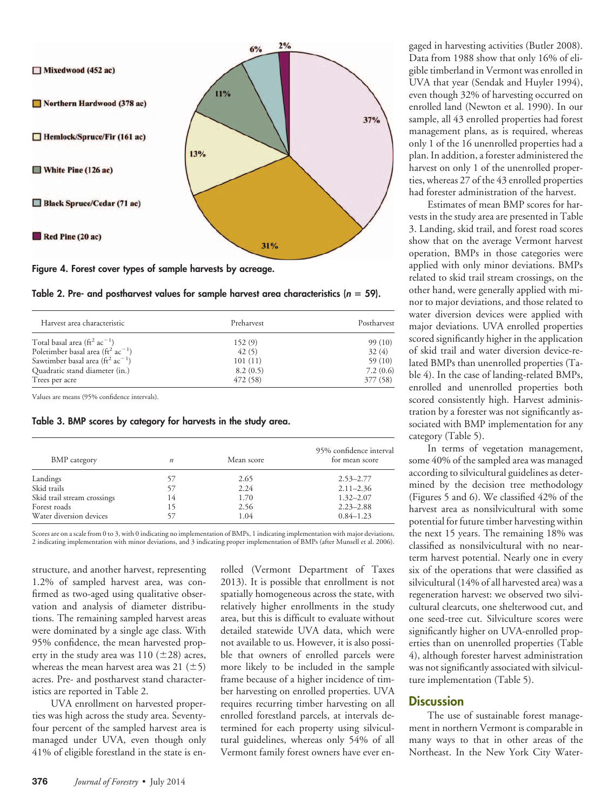

**Figure 4. Forest cover types of sample harvests by acreage.**

**Table 2. Pre- and postharvest values for sample harvest area characteristics (***n* - **59).**

| Harvest area characteristic                              | Preharvest | Postharvest |
|----------------------------------------------------------|------------|-------------|
| Total basal area ( $\text{ft}^2$ ac <sup>-1</sup> )      | 152(9)     | 99(10)      |
| Poletimber basal area ( $\text{ft}^2$ ac <sup>-1</sup> ) | 42(5)      | 32(4)       |
| Sawtimber basal area ( $\text{ft}^2$ ac <sup>-1</sup> )  | 101(11)    | 59(10)      |
| Quadratic stand diameter (in.)                           | 8.2(0.5)   | 7.2(0.6)    |
| Trees per acre                                           | 472 (58)   | 377 (58)    |

Values are means (95% confidence intervals).

**Table 3. BMP scores by category for harvests in the study area.**

| BMP category                | $\boldsymbol{n}$ | Mean score | 95% confidence interval<br>for mean score |
|-----------------------------|------------------|------------|-------------------------------------------|
| Landings                    | 57               | 2.65       | $2.53 - 2.77$                             |
| Skid trails                 | 57               | 2.24       | $2.11 - 2.36$                             |
| Skid trail stream crossings | 14               | 1.70       | $1.32 - 2.07$                             |
| Forest roads                | 15               | 2.56       | $2.23 - 2.88$                             |
| Water diversion devices     | 57               | 1.04       | $0.84 - 1.23$                             |

Scores are on a scale from 0 to 3, with 0 indicating no implementation of BMPs, 1 indicating implementation with major deviations, 2 indicating implementation with minor deviations, and 3 indicating proper implementation of BMPs (after Munsell et al. 2006).

structure, and another harvest, representing 1.2% of sampled harvest area, was confirmed as two-aged using qualitative observation and analysis of diameter distributions. The remaining sampled harvest areas were dominated by a single age class. With 95% confidence, the mean harvested property in the study area was  $110 (\pm 28)$  acres, whereas the mean harvest area was 21 ( $\pm$ 5) acres. Pre- and postharvest stand characteristics are reported in Table 2.

UVA enrollment on harvested properties was high across the study area. Seventyfour percent of the sampled harvest area is managed under UVA, even though only 41% of eligible forestland in the state is en-

rolled (Vermont Department of Taxes 2013). It is possible that enrollment is not spatially homogeneous across the state, with relatively higher enrollments in the study area, but this is difficult to evaluate without detailed statewide UVA data, which were not available to us. However, it is also possible that owners of enrolled parcels were more likely to be included in the sample frame because of a higher incidence of timber harvesting on enrolled properties. UVA requires recurring timber harvesting on all enrolled forestland parcels, at intervals determined for each property using silvicultural guidelines, whereas only 54% of all Vermont family forest owners have ever en-

gaged in harvesting activities (Butler 2008). Data from 1988 show that only 16% of eligible timberland in Vermont was enrolled in UVA that year (Sendak and Huyler 1994), even though 32% of harvesting occurred on enrolled land (Newton et al. 1990). In our sample, all 43 enrolled properties had forest management plans, as is required, whereas only 1 of the 16 unenrolled properties had a plan. In addition, a forester administered the harvest on only 1 of the unenrolled properties, whereas 27 of the 43 enrolled properties had forester administration of the harvest.

Estimates of mean BMP scores for harvests in the study area are presented in Table 3. Landing, skid trail, and forest road scores show that on the average Vermont harvest operation, BMPs in those categories were applied with only minor deviations. BMPs related to skid trail stream crossings, on the other hand, were generally applied with minor to major deviations, and those related to water diversion devices were applied with major deviations. UVA enrolled properties scored significantly higher in the application of skid trail and water diversion device-related BMPs than unenrolled properties (Table 4). In the case of landing-related BMPs, enrolled and unenrolled properties both scored consistently high. Harvest administration by a forester was not significantly associated with BMP implementation for any category (Table 5).

In terms of vegetation management, some 40% of the sampled area was managed according to silvicultural guidelines as determined by the decision tree methodology (Figures 5 and 6). We classified 42% of the harvest area as nonsilvicultural with some potential for future timber harvesting within the next 15 years. The remaining 18% was classified as nonsilvicultural with no nearterm harvest potential. Nearly one in every six of the operations that were classified as silvicultural (14% of all harvested area) was a regeneration harvest: we observed two silvicultural clearcuts, one shelterwood cut, and one seed-tree cut. Silviculture scores were significantly higher on UVA-enrolled properties than on unenrolled properties (Table 4), although forester harvest administration was not significantly associated with silviculture implementation (Table 5).

### **Discussion**

The use of sustainable forest management in northern Vermont is comparable in many ways to that in other areas of the Northeast. In the New York City Water-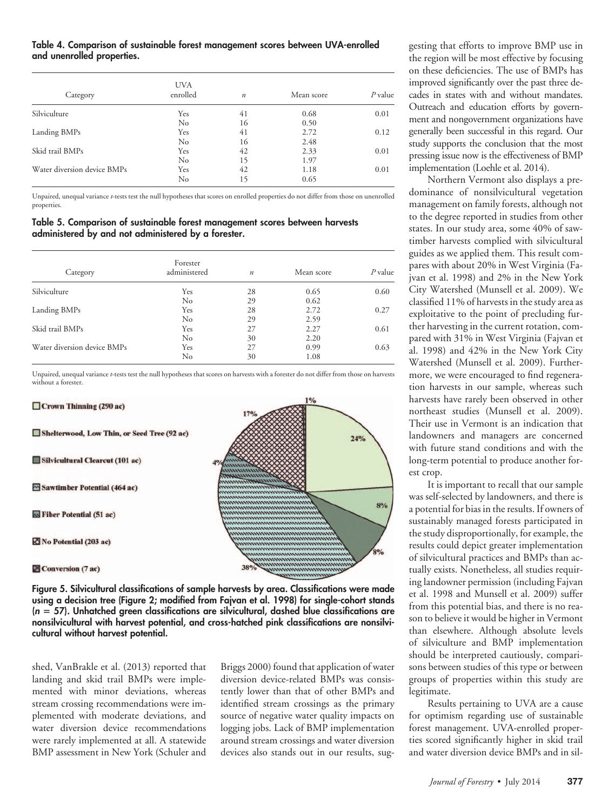#### **Table 4. Comparison of sustainable forest management scores between UVA-enrolled and unenrolled properties.**

| Category                    | <b>UVA</b><br>enrolled | $\boldsymbol{n}$ | Mean score | $P$ value |
|-----------------------------|------------------------|------------------|------------|-----------|
| Silviculture                | Yes                    | 41               | 0.68       | 0.01      |
|                             | No                     | 16               | 0.50       |           |
| Landing BMPs                | Yes                    | 41               | 2.72       | 0.12      |
|                             | No                     | 16               | 2.48       |           |
| Skid trail BMPs             | Yes                    | 42               | 2.33       | 0.01      |
|                             | No                     | 15               | 1.97       |           |
| Water diversion device BMPs | Yes                    | 42               | 1.18       | 0.01      |
|                             | No                     | 15               | 0.65       |           |

Unpaired, unequal variance *t*-tests test the null hypotheses that scores on enrolled properties do not differ from those on unenrolled properties

#### **Table 5. Comparison of sustainable forest management scores between harvests administered by and not administered by a forester.**

| Category                    | Forester<br>administered | $\boldsymbol{n}$ | Mean score | $P$ value |
|-----------------------------|--------------------------|------------------|------------|-----------|
| Silviculture                | Yes                      | 28               | 0.65       | 0.60      |
|                             | No                       | 29               | 0.62       |           |
| Landing BMPs                | Yes                      | 28               | 2.72       | 0.27      |
|                             | No                       | 29               | 2.59       |           |
| Skid trail BMPs             | Yes                      | 27               | 2.27       | 0.61      |
|                             | No                       | 30               | 2.20       |           |
| Water diversion device BMPs | Yes                      | 27               | 0.99       | 0.63      |
|                             | No                       | 30               | 1.08       |           |

Unpaired, unequal variance*t*-tests test the null hypotheses that scores on harvests with a forester do not differ from those on harvests without a forester.



**Figure 5. Silvicultural classifications of sample harvests by area. Classifications were made using a decision tree (Figure 2; modified from Fajvan et al. 1998) for single-cohort stands (***n* - **57). Unhatched green classifications are silvicultural, dashed blue classifications are nonsilvicultural with harvest potential, and cross-hatched pink classifications are nonsilvicultural without harvest potential.**

shed, VanBrakle et al. (2013) reported that landing and skid trail BMPs were implemented with minor deviations, whereas stream crossing recommendations were implemented with moderate deviations, and water diversion device recommendations were rarely implemented at all. A statewide BMP assessment in New York (Schuler and

Briggs 2000) found that application of water diversion device-related BMPs was consistently lower than that of other BMPs and identified stream crossings as the primary source of negative water quality impacts on logging jobs. Lack of BMP implementation around stream crossings and water diversion devices also stands out in our results, sug-

gesting that efforts to improve BMP use in the region will be most effective by focusing on these deficiencies. The use of BMPs has improved significantly over the past three decades in states with and without mandates. Outreach and education efforts by government and nongovernment organizations have generally been successful in this regard. Our study supports the conclusion that the most pressing issue now is the effectiveness of BMP implementation (Loehle et al. 2014).

Northern Vermont also displays a predominance of nonsilvicultural vegetation management on family forests, although not to the degree reported in studies from other states. In our study area, some 40% of sawtimber harvests complied with silvicultural guides as we applied them. This result compares with about 20% in West Virginia (Fajvan et al. 1998) and 2% in the New York City Watershed (Munsell et al. 2009). We classified 11% of harvests in the study area as exploitative to the point of precluding further harvesting in the current rotation, compared with 31% in West Virginia (Fajvan et al. 1998) and 42% in the New York City Watershed (Munsell et al. 2009). Furthermore, we were encouraged to find regeneration harvests in our sample, whereas such harvests have rarely been observed in other northeast studies (Munsell et al. 2009). Their use in Vermont is an indication that landowners and managers are concerned with future stand conditions and with the long-term potential to produce another forest crop.

It is important to recall that our sample was self-selected by landowners, and there is a potential for bias in the results. If owners of sustainably managed forests participated in the study disproportionally, for example, the results could depict greater implementation of silvicultural practices and BMPs than actually exists. Nonetheless, all studies requiring landowner permission (including Fajvan et al. 1998 and Munsell et al. 2009) suffer from this potential bias, and there is no reason to believe it would be higher in Vermont than elsewhere. Although absolute levels of silviculture and BMP implementation should be interpreted cautiously, comparisons between studies of this type or between groups of properties within this study are legitimate.

Results pertaining to UVA are a cause for optimism regarding use of sustainable forest management. UVA-enrolled properties scored significantly higher in skid trail and water diversion device BMPs and in sil-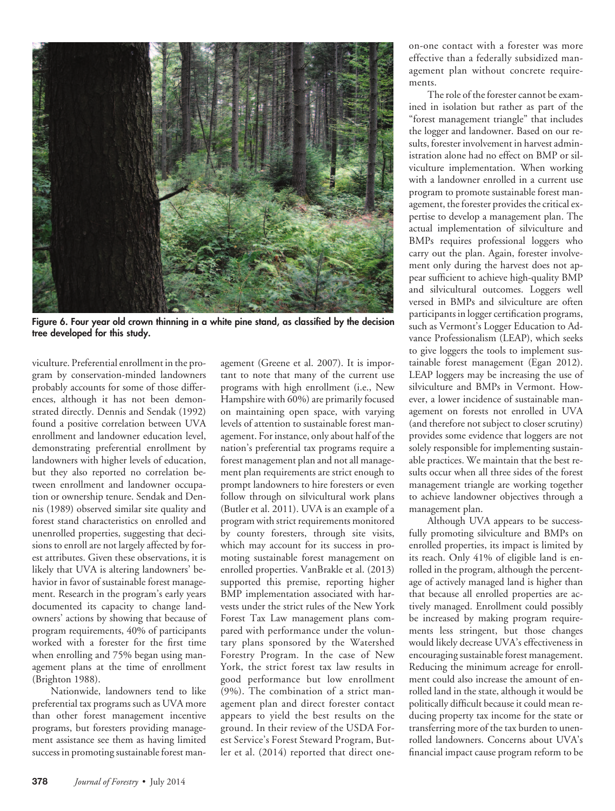

**Figure 6. Four year old crown thinning in a white pine stand, as classified by the decision tree developed for this study.**

viculture. Preferential enrollment in the program by conservation-minded landowners probably accounts for some of those differences, although it has not been demonstrated directly. Dennis and Sendak (1992) found a positive correlation between UVA enrollment and landowner education level, demonstrating preferential enrollment by landowners with higher levels of education, but they also reported no correlation between enrollment and landowner occupation or ownership tenure. Sendak and Dennis (1989) observed similar site quality and forest stand characteristics on enrolled and unenrolled properties, suggesting that decisions to enroll are not largely affected by forest attributes. Given these observations, it is likely that UVA is altering landowners' behavior in favor of sustainable forest management. Research in the program's early years documented its capacity to change landowners' actions by showing that because of program requirements, 40% of participants worked with a forester for the first time when enrolling and 75% began using management plans at the time of enrollment (Brighton 1988).

Nationwide, landowners tend to like preferential tax programs such as UVA more than other forest management incentive programs, but foresters providing management assistance see them as having limited success in promoting sustainable forest man-

agement (Greene et al. 2007). It is important to note that many of the current use programs with high enrollment (i.e., New Hampshire with 60%) are primarily focused on maintaining open space, with varying levels of attention to sustainable forest management. For instance, only about half of the nation's preferential tax programs require a forest management plan and not all management plan requirements are strict enough to prompt landowners to hire foresters or even follow through on silvicultural work plans (Butler et al. 2011). UVA is an example of a program with strict requirements monitored by county foresters, through site visits, which may account for its success in promoting sustainable forest management on enrolled properties. VanBrakle et al. (2013) supported this premise, reporting higher BMP implementation associated with harvests under the strict rules of the New York Forest Tax Law management plans compared with performance under the voluntary plans sponsored by the Watershed Forestry Program. In the case of New York, the strict forest tax law results in good performance but low enrollment (9%). The combination of a strict management plan and direct forester contact appears to yield the best results on the ground. In their review of the USDA Forest Service's Forest Steward Program, Butler et al. (2014) reported that direct one-

on-one contact with a forester was more effective than a federally subsidized management plan without concrete requirements.

The role of the forester cannot be examined in isolation but rather as part of the "forest management triangle" that includes the logger and landowner. Based on our results, forester involvement in harvest administration alone had no effect on BMP or silviculture implementation. When working with a landowner enrolled in a current use program to promote sustainable forest management, the forester provides the critical expertise to develop a management plan. The actual implementation of silviculture and BMPs requires professional loggers who carry out the plan. Again, forester involvement only during the harvest does not appear sufficient to achieve high-quality BMP and silvicultural outcomes. Loggers well versed in BMPs and silviculture are often participants in logger certification programs, such as Vermont's Logger Education to Advance Professionalism (LEAP), which seeks to give loggers the tools to implement sustainable forest management (Egan 2012). LEAP loggers may be increasing the use of silviculture and BMPs in Vermont. However, a lower incidence of sustainable management on forests not enrolled in UVA (and therefore not subject to closer scrutiny) provides some evidence that loggers are not solely responsible for implementing sustainable practices. We maintain that the best results occur when all three sides of the forest management triangle are working together to achieve landowner objectives through a management plan.

Although UVA appears to be successfully promoting silviculture and BMPs on enrolled properties, its impact is limited by its reach. Only 41% of eligible land is enrolled in the program, although the percentage of actively managed land is higher than that because all enrolled properties are actively managed. Enrollment could possibly be increased by making program requirements less stringent, but those changes would likely decrease UVA's effectiveness in encouraging sustainable forest management. Reducing the minimum acreage for enrollment could also increase the amount of enrolled land in the state, although it would be politically difficult because it could mean reducing property tax income for the state or transferring more of the tax burden to unenrolled landowners. Concerns about UVA's financial impact cause program reform to be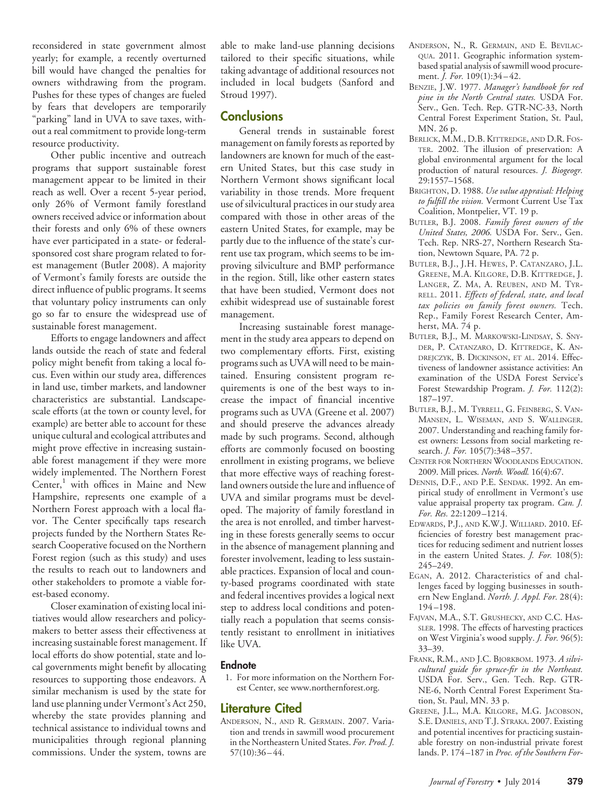reconsidered in state government almost yearly; for example, a recently overturned bill would have changed the penalties for owners withdrawing from the program. Pushes for these types of changes are fueled by fears that developers are temporarily "parking" land in UVA to save taxes, without a real commitment to provide long-term resource productivity.

Other public incentive and outreach programs that support sustainable forest management appear to be limited in their reach as well. Over a recent 5-year period, only 26% of Vermont family forestland owners received advice or information about their forests and only 6% of these owners have ever participated in a state- or federalsponsored cost share program related to forest management (Butler 2008). A majority of Vermont's family forests are outside the direct influence of public programs. It seems that voluntary policy instruments can only go so far to ensure the widespread use of sustainable forest management.

Efforts to engage landowners and affect lands outside the reach of state and federal policy might benefit from taking a local focus. Even within our study area, differences in land use, timber markets, and landowner characteristics are substantial. Landscapescale efforts (at the town or county level, for example) are better able to account for these unique cultural and ecological attributes and might prove effective in increasing sustainable forest management if they were more widely implemented. The Northern Forest Center, $<sup>1</sup>$  with offices in Maine and New</sup> Hampshire, represents one example of a Northern Forest approach with a local flavor. The Center specifically taps research projects funded by the Northern States Research Cooperative focused on the Northern Forest region (such as this study) and uses the results to reach out to landowners and other stakeholders to promote a viable forest-based economy.

Closer examination of existing local initiatives would allow researchers and policymakers to better assess their effectiveness at increasing sustainable forest management. If local efforts do show potential, state and local governments might benefit by allocating resources to supporting those endeavors. A similar mechanism is used by the state for land use planning under Vermont's Act 250, whereby the state provides planning and technical assistance to individual towns and municipalities through regional planning commissions. Under the system, towns are able to make land-use planning decisions tailored to their specific situations, while taking advantage of additional resources not included in local budgets (Sanford and Stroud 1997).

#### **Conclusions**

General trends in sustainable forest management on family forests as reported by landowners are known for much of the eastern United States, but this case study in Northern Vermont shows significant local variability in those trends. More frequent use of silvicultural practices in our study area compared with those in other areas of the eastern United States, for example, may be partly due to the influence of the state's current use tax program, which seems to be improving silviculture and BMP performance in the region. Still, like other eastern states that have been studied, Vermont does not exhibit widespread use of sustainable forest management.

Increasing sustainable forest management in the study area appears to depend on two complementary efforts. First, existing programs such as UVA will need to be maintained. Ensuring consistent program requirements is one of the best ways to increase the impact of financial incentive programs such as UVA (Greene et al. 2007) and should preserve the advances already made by such programs. Second, although efforts are commonly focused on boosting enrollment in existing programs, we believe that more effective ways of reaching forestland owners outside the lure and influence of UVA and similar programs must be developed. The majority of family forestland in the area is not enrolled, and timber harvesting in these forests generally seems to occur in the absence of management planning and forester involvement, leading to less sustainable practices. Expansion of local and county-based programs coordinated with state and federal incentives provides a logical next step to address local conditions and potentially reach a population that seems consistently resistant to enrollment in initiatives like UVA.

#### **Endnote**

1. For more information on the Northern Forest Center, see [www.northernforest.org.](http://www.northernforest.org)

## **Literature Cited**

ANDERSON, N., AND R. GERMAIN. 2007. Variation and trends in sawmill wood procurement in the Northeastern United States. *For. Prod. J.* 57(10):36–44.

- ANDERSON, N., R. GERMAIN, AND E. BEVILAC-QUA. 2011. Geographic information systembased spatial analysis of sawmill wood procurement. *J. For.* 109(1):34–42.
- BENZIE, J.W. 1977. *Manager's handbook for red pine in the North Central states.* USDA For. Serv., Gen. Tech. Rep. GTR-NC-33, North Central Forest Experiment Station, St. Paul, MN. 26 p.
- BERLICK, M.M., D.B. KITTREDGE, AND D.R. FOS-TER. 2002. The illusion of preservation: A global environmental argument for the local production of natural resources. *J. Biogeogr.* 29:1557–1568.
- BRIGHTON, D. 1988. *Use value appraisal: Helping to fulfill the vision.* Vermont Current Use Tax Coalition, Montpelier, VT. 19 p.
- BUTLER, B.J. 2008. *Family forest owners of the United States, 2006.* USDA For. Serv., Gen. Tech. Rep. NRS-27, Northern Research Station, Newtown Square, PA. 72 p.
- BUTLER, B.J., J.H. HEWES, P. CATANZARO, J.L. GREENE, M.A. KILGORE, D.B. KITTREDGE, J. LANGER, Z. MA, A. REUBEN, AND M. TYR-RELL. 2011. *Effects of federal, state, and local tax policies on family forest owners.* Tech. Rep., Family Forest Research Center, Amherst, MA. 74 p.
- BUTLER, B.J., M. MARKOWSKI-LINDSAY, S. SNY-DER, P. CATANZARO, D. KITTREDGE, K. AN-DREJCZYK, B. DICKINSON, ET AL. 2014. Effectiveness of landowner assistance activities: An examination of the USDA Forest Service's Forest Stewardship Program. *J. For.* 112(2): 187–197.
- BUTLER, B.J., M. TYRRELL, G. FEINBERG, S. VAN-MANSEN, L. WISEMAN, AND S. WALLINGER. 2007. Understanding and reaching family forest owners: Lessons from social marketing research. *J. For.* 105(7):348–357.
- CENTER FOR NORTHERN WOODLANDS EDUCATION. 2009. Mill prices. *North. Woodl.* 16(4):67.
- DENNIS, D.F., AND P.E. SENDAK. 1992. An empirical study of enrollment in Vermont's use value appraisal property tax program. *Can. J. For. Res.* 22:1209–1214.
- EDWARDS, P.J., AND K.W.J. WILLIARD. 2010. Efficiencies of forestry best management practices for reducing sediment and nutrient losses in the eastern United States. *J. For.* 108(5): 245–249.
- EGAN, A. 2012. Characteristics of and challenges faced by logging businesses in southern New England. *North. J. Appl. For.* 28(4): 194–198.
- FAJVAN, M.A., S.T. GRUSHECKY, AND C.C. HAS-SLER. 1998. The effects of harvesting practices on West Virginia's wood supply. *J. For.* 96(5): 33–39.
- FRANK, R.M., AND J.C. BJORKBOM. 1973. *A silvicultural guide for spruce-fir in the Northeast.* USDA For. Serv., Gen. Tech. Rep. GTR-NE-6, North Central Forest Experiment Station, St. Paul, MN. 33 p.
- GREENE, J.L., M.A. KILGORE, M.G. JACOBSON, S.E. DANIELS, AND T.J. STRAKA. 2007. Existing and potential incentives for practicing sustainable forestry on non-industrial private forest lands. P. 174–187 in *Proc. of the Southern For-*